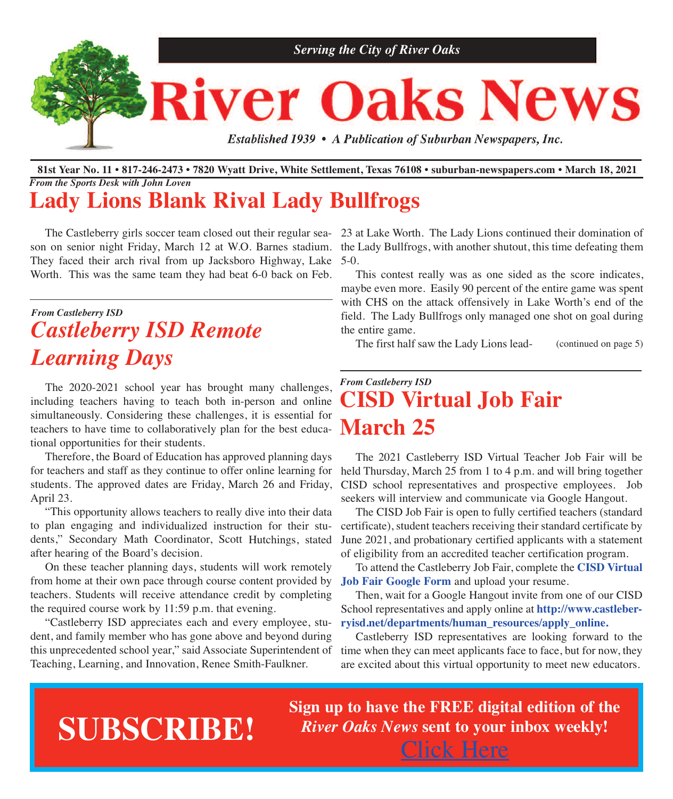

#### 81st Year No. 11 • 817-246-2473 • 7820 Wyatt Drive, White Settlement, Texas 76108 • suburban-newspapers.com • March 18, 2021 *From the Sports Desk with John Loven*

# **Lady Lions Blank Rival Lady Bullfrogs**

son on senior night Friday, March 12 at W.O. Barnes stadium. They faced their arch rival from up Jacksboro Highway, Lake Worth. This was the same team they had beat 6-0 back on Feb.

# *From Castleberry ISD Castleberry ISD Remote Learning Days*

The 2020-2021 school year has brought many challenges, including teachers having to teach both in-person and online simultaneously. Considering these challenges, it is essential for teachers to have time to collaboratively plan for the best educational opportunities for their students.

Therefore, the Board of Education has approved planning days for teachers and staff as they continue to offer online learning for students. The approved dates are Friday, March 26 and Friday, April 23.

"This opportunity allows teachers to really dive into their data to plan engaging and individualized instruction for their students," Secondary Math Coordinator, Scott Hutchings, stated after hearing of the Board's decision.

On these teacher planning days, students will work remotely from home at their own pace through course content provided by teachers. Students will receive attendance credit by completing the required course work by 11:59 p.m. that evening.

"Castleberry ISD appreciates each and every employee, student, and family member who has gone above and beyond during this unprecedented school year," said Associate Superintendent of Teaching, Learning, and Innovation, Renee Smith-Faulkner.

 The Castleberry girls soccer team closed out their regular sea-23 at Lake Worth. The Lady Lions continued their domination of the Lady Bullfrogs, with another shutout, this time defeating them 5-0.

> This contest really was as one sided as the score indicates, maybe even more. Easily 90 percent of the entire game was spent with CHS on the attack offensively in Lake Worth's end of the field. The Lady Bullfrogs only managed one shot on goal during the entire game.

The first half saw the Lady Lions lead- (continued on page 5)

## *From Castleberry ISD* **CISD Virtual Job Fair March 25**

 The 2021 Castleberry ISD Virtual Teacher Job Fair will be held Thursday, March 25 from 1 to 4 p.m. and will bring together CISD school representatives and prospective employees. Job seekers will interview and communicate via Google Hangout.

 The CISD Job Fair is open to fully certified teachers (standard certificate), student teachers receiving their standard certificate by June 2021, and probationary certified applicants with a statement of eligibility from an accredited teacher certification program.

 To attend the Castleberry Job Fair, complete the **CISD [Virtual](https://docs.google.com/forms/d/e/1FAIpQLSe6M3oGIDTzxDMp9iOZ7ZTcXusvnxOEwHlw7YOp3qCB32EIiw/viewform) Job Fair [Google](https://docs.google.com/forms/d/e/1FAIpQLSe6M3oGIDTzxDMp9iOZ7ZTcXusvnxOEwHlw7YOp3qCB32EIiw/viewform) Form** and upload your resume.

 Then, wait for a Google Hangout invite from one of our CISD School representatives and apply online at **[http://www.castleber](http://www.castleberryisd.net/departments/human_resources/apply_online)[ryisd.net/departments/human\\_resources/apply\\_online.](http://www.castleberryisd.net/departments/human_resources/apply_online)**

 Castleberry ISD representatives are looking forward to the time when they can meet applicants face to face, but for now, they are excited about this virtual opportunity to meet new educators.

# **SUBSCRIBE!**

**Sign up to have the FREE digital edition of the** *River Oaks News* **sent to your inbox weekly!** [Click](http://eepurl.com/g3m8OX) Here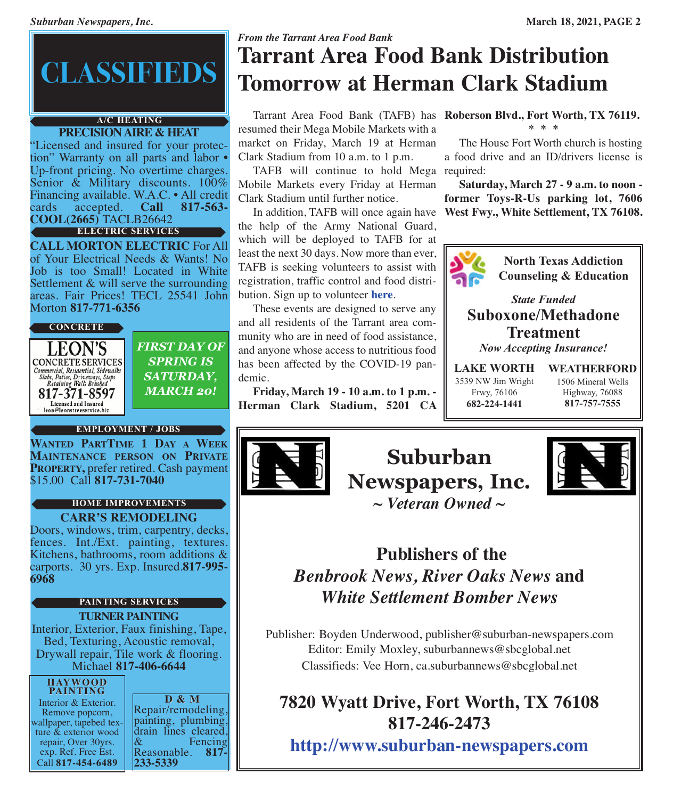# **CLASSIFIEDS**

#### **PRECISIONAIRE & HEAT A/C HEATING**

"Licensed and insured for your protection" Warranty on all parts and labor • Up-front pricing. No overtime charges. Senior & Military discounts. 100% Financing available. W.A.C. • All credit cards accepted. **Call 817-563- COOL(2665)** TACLB26642 **ELECTRIC SERVICES**

**CALL MORTON ELECTRIC** For All of Your Electrical Needs & Wants! No Job is too Small! Located in White Settlement & will serve the surrounding areas. Fair Prices! TECL 25541 John Morton **817-771-6356**



*FIRST DAY OF SPRING IS SATURDAY, MARCH 20!*

#### **EMPLOYMENT / JOBS**

**WANTED PARTTIME 1 DAY A WEEK MAINTENANCE PERSON ON PRIVATE PROPERTY,** prefer retired. Cash payment \$15.00 Call **817-731-7040**

#### **CARR'S REMODELING HOME IMPROVEMENTS**

Doors, windows, trim, carpentry, decks, fences. Int./Ext. painting, textures. Kitchens, bathrooms, room additions & carports. 30 yrs. Exp. Insured.**817-995- 6968**

#### **TURNER PAINTING PAINTING SERVICES**

Interior, Exterior, Faux finishing, Tape, Bed, Texturing, Acoustic removal, Drywall repair, Tile work & flooring.<br>Michael **817-406-6644** 

#### **HAYWOOD PAINTING**

Interior & Exterior.<br>
Remove popcorn,<br>
wallpaper, tapebed tex-<br>
ture & exterior wood repair, Over 30yrs. exp. Ref. Free Est. Call **817-454-6489**

**D** & **M**<br>Repair/remodeling. painting, plumbing, drain lines cleared, & Reasonable. **817- 233-5339**

# *From the Tarrant Area Food Bank* **Tarrant Area Food Bank Distribution Tomorrow at Herman Clark Stadium**

resumed their Mega Mobile Markets with a market on Friday, March 19 at Herman Clark Stadium from 10 a.m. to 1 p.m.

 TAFB will continue to hold Mega required: Mobile Markets every Friday at Herman Clark Stadium until further notice.

the help of the Army National Guard, which will be deployed to TAFB for at least the next 30 days. Now more than ever, TAFB is seeking volunteers to assist with registration, traffic control and food distribution. Sign up to volunteer **[here](https://tafb.galaxydigital.com)**.

 These events are designed to serve any and all residents of the Tarrant area community who are in need of food assistance, and anyone whose access to nutritious food has been affected by the COVID-19 pandemic.

 **Friday, March 19 - 10 a.m. to 1 p.m. - Herman Clark Stadium, 5201 CA**

 Tarrant Area Food Bank (TAFB) has **Roberson Blvd., Fort Worth, TX 76119. \* \* \***

> The House Fort Worth church is hosting a food drive and an ID/drivers license is

 In addition, TAFB will once again have **West Fwy., White Settlement, TX 76108. Saturday, March 27 - 9 a.m. to noon former Toys-R-Us parking lot, 7606**



**North Texas Addiction Counseling & Education**

*State Funded* **Suboxone/Methadone Treatment** *Now Accepting Insurance!*

**LAKE WORTH** 3539 NW Jim Wright Frwy, 76106 **682-224-1441**

**WEATHERFORD** 1506 Mineral Wells Highway, 76088 **817-757-7555**



**Suburban Newspapers, Inc.**



*~ Veteran Owned ~*

# **Publishers of the** *Benbrook News, River Oaks News* **and** *White Settlement Bomber News*

Publisher: Boyden Underwood, publisher@suburban-newspapers.com Editor: Emily Moxley, suburbannews@sbcglobal.net Classifieds: Vee Horn, ca.suburbannews@sbcglobal.net

# **7820 Wyatt Drive, Fort Worth, TX 76108 817-246-2473**

**<http://www.suburban-newspapers.com>**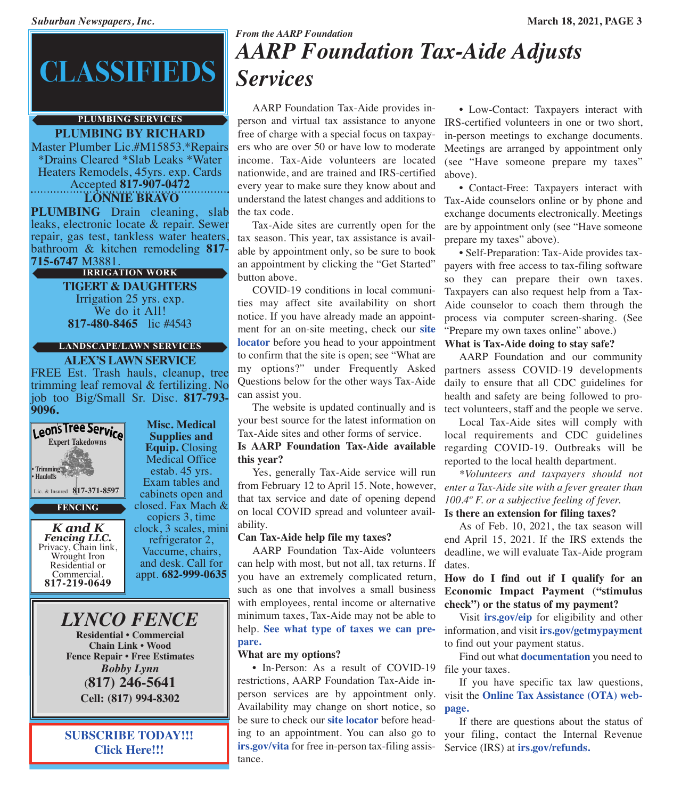# **CLASSIFIEDS**

#### **PLUMBING BY RICHARD PLUMBING SERVICES**

Master Plumber Lic.#M15853.\*Repairs \*Drains Cleared \*Slab Leaks \*Water Heaters Remodels, 45yrs. exp. Cards Accepted **817-907-0472**

**LONNIE BRAVO**

**PLUMBING** Drain cleaning, slab leaks, electronic locate & repair. Sewer repair, gas test, tankless water heaters, bathroom & kitchen remodeling **817- 715-6747** M3881.

#### **IRRIGATION WORK**

**TIGERT & DAUGHTERS** Irrigation 25 yrs. exp. We do it All! **817-480-8465** lic #4543

#### **LANDSCAPE/LAWN SERVICES**

**ALEX'S LAWN SERVICE** FREE Est. Trash hauls, cleanup, tree trimming leaf removal & fertilizing. No job too Big/Small Sr. Disc. **817-793- 9096.**



#### **FENCING**

*K and K* Privacy, Chain link, Wrought Iron Residential or<br>Commercial. Commercial. **817-219-0649**

**Misc. Medical Supplies and Equip.** Closing Medical Office estab. 45 yrs. Exam tables and cabinets open and closed. Fax Mach & copiers 3, time clock, 3 scales, mini refrigerator 2, Vaccume, chairs, and desk. Call for appt. **682-999-0635**

*LYNCO FENCE*

**Residential • Commercial Chain Link • Wood Fence Repair • Free Estimates** *Bobby Lynn* **(817) 246-5641 Cell: (817) 994-8302**

**SUBSCRIBE TODAY!!! [Click](http://eepurl.com/g3m8OX) Here!!!**

## *From the AARP Foundation AARP Foundation Tax-Aide Adjusts Services*

 AARP Foundation Tax-Aide provides inperson and virtual tax assistance to anyone IRS-certified volunteers in one or two short, free of charge with a special focus on taxpayers who are over 50 or have low to moderate income. Tax-Aide volunteers are located nationwide, and are trained and IRS-certified every year to make sure they know about and understand the latest changes and additions to Tax-Aide counselors online or by phone and the tax code.

 Tax-Aide sites are currently open for the tax season. This year, tax assistance is available by appointment only, so be sure to book an appointment by clicking the "Get Started" button above.

 COVID-19 conditions in local communities may affect site availability on short notice. If you have already made an appointment for an on-site meeting, check our **[site](https://secure.aarp.org/applications/VMISLocator/searchTaxAideLocations.action?cmp=RDRCT-FNDTX_DEC23_010) [locator](https://secure.aarp.org/applications/VMISLocator/searchTaxAideLocations.action?cmp=RDRCT-FNDTX_DEC23_010)** before you head to your appointment to confirm that the site is open; see "What are my options?" under Frequently Asked Questions below for the other ways Tax-Aide can assist you.

 The website is updated continually and is your best source for the latest information on Tax-Aide sites and other forms of service.

**Is AARP Foundation Tax-Aide available this year?**

 Yes, generally Tax-Aide service will run from February 12 to April 15. Note, however, that tax service and date of opening depend on local COVID spread and volunteer availability.

#### **Can Tax-Aide help file my taxes?**

 AARP Foundation Tax-Aide volunteers can help with most, but not all, tax returns. If you have an extremely complicated return, such as one that involves a small business with employees, rental income or alternative minimum taxes, Tax-Aide may not be able to help. **See what type of [taxes](https://taxaide.aarpfoundation.org/pdf/2021%20Tax-Aide%20Scope.pdf) we can pre[pare.](https://taxaide.aarpfoundation.org/pdf/2021%20Tax-Aide%20Scope.pdf)**

#### **What are my options?**

• In-Person: As a result of COVID-19 restrictions, AARP Foundation Tax-Aide inperson services are by appointment only. visit the **Online Tax [Assistance](https://taxaideqa.aarp.org/hc/en-us) (OTA) web-**Availability may change on short notice, so be sure to check our **site [locator](https://secure.aarp.org/applications/VMISLocator/searchTaxAideLocations.action?cmp=RDRCT-FNDTX_DEC23_010)** before heading to an appointment. You can also go to **[irs.gov/vita](https://irs.gov/vita)** for free in-person tax-filing assistance.

 • Low-Contact: Taxpayers interact with in-person meetings to exchange documents. Meetings are arranged by appointment only (see "Have someone prepare my taxes" above).

 • Contact-Free: Taxpayers interact with exchange documents electronically. Meetings are by appointment only (see "Have someone prepare my taxes" above).

 • Self-Preparation: Tax-Aide provides taxpayers with free access to tax-filing software so they can prepare their own taxes. Taxpayers can also request help from a Tax-Aide counselor to coach them through the process via computer screen-sharing. (See "Prepare my own taxes online" above.)

#### **What is Tax-Aide doing to stay safe?**

 AARP Foundation and our community partners assess COVID-19 developments daily to ensure that all CDC guidelines for health and safety are being followed to protect volunteers, staff and the people we serve.

 Local Tax-Aide sites will comply with local requirements and CDC guidelines regarding COVID-19. Outbreaks will be reported to the local health department.

 *\*Volunteers and taxpayers should not enter a Tax-Aide site with a fever greater than 100.4º F. or a subjective feeling of fever.* **Is there an extension for filing taxes?**

 As of Feb. 10, 2021, the tax season will end April 15, 2021. If the IRS extends the deadline, we will evaluate Tax-Aide program dates.

#### **How do I find out if I qualify for an Economic Impact Payment ("stimulus check") or the status of my payment?**

 Visit **[irs.gov/eip](https://irs.gov/eip)** for eligibility and other information, and visit **[irs.gov/getmypayment](https://www.irs.gov/coronavirus/get-my-payment)** to find out your payment status.

 Find out what **[documentation](https://www.aarp.org/money/taxes/info-01-2011/important-tax-documents.html?cmp=RDRCT-3af1900a-20200401)** you need to file your taxes.

 If you have specific tax law questions, **[page.](https://taxaideqa.aarp.org/hc/en-us)**

 If there are questions about the status of your filing, contact the Internal Revenue Service (IRS) at **[irs.gov/refunds.](https://secure.aarp.org/applications/VMISLocator/searchTaxAideLocations.action?cmp=RDRCT-FNDTX_DEC23_010)**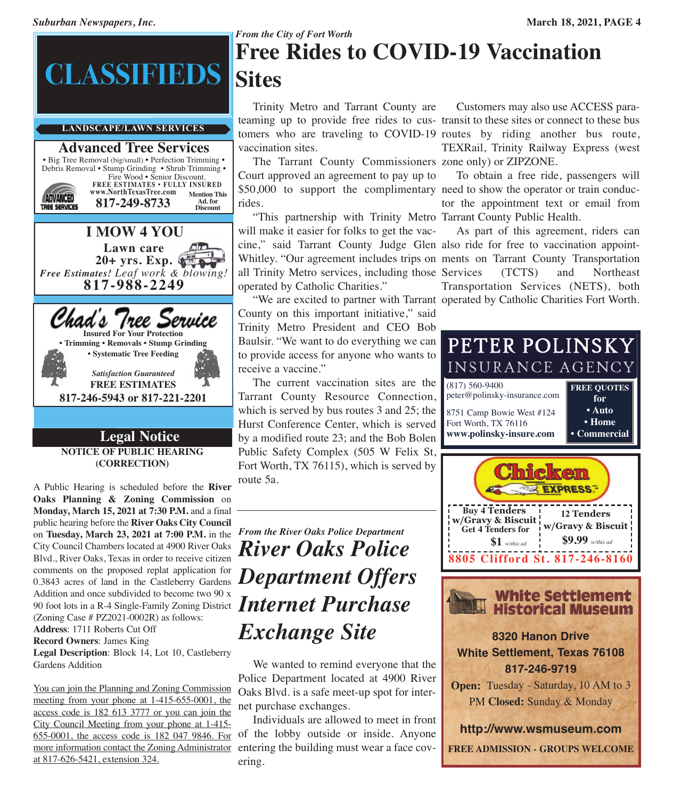

#### **Advanced Tree Services** • Big Tree Removal (big/small) • Perfection Trimming • Debris Removal • Stump Grinding • Shrub Trimming • Fire Wood • Senior Discount. **FREE ESTIMATES • FULLY INSURED www.NorthTexasTree.com Mention This Ad. for Discount ADVANCED 817-249-8733** TREE SERVICES **I MOW 4 YOU Lawn care 20+ yrs. Exp.** *Free Estimates! Leaf work & blowing!* **817-988-2249** Chad's Tree Service **Insured For Your Protection • Trimming • Removals • Stump Grinding • Systematic Tree Feeding** *Satisfaction Guaranteed* **FREE ESTIMATES 817-246-5943 or 817-221-2201 Legal Notice NOTICE OF PUBLIC HEARING**

**(CORRECTION)**

comments on the proposed replat application for  $\boldsymbol{Department\;Offers}$ *Addition and once subdivided to become two 50 x*<br>90 foot lots in a R-4 Single-Family Zoning District **Internet Purchase** A Public Hearing is scheduled before the **River Oaks Planning & Zoning Commission** on **Monday, March 15, 2021 at 7:30 P.M.** and a final public hearing before the **River Oaks City Council** on **Tuesday, March 23, 2021 at 7:00 P.M.** in the City Council Chambers located at 4900 River Oaks Blvd., River Oaks, Texas in order to receive citizen comments on the proposed replat application for Addition and once subdivided to become two 90 x (Zoning Case # PZ2021-0002R) as follows: **Address**: 1711 Roberts Cut Off **Record Owners**: James King

**Legal Description**: Block 14, Lot 10, Castleberry Gardens Addition

You can join the Planning and Zoning Commission meeting from your phone at 1-415-655-0001, the access code is 182 613 3777 or you can join the City Council Meeting from your phone at 1-415- 655-0001, the access code is 182 047 9846. For more information contact the Zoning Administrator at 817-626-5421, extension 324.

# *From the City of Fort Worth* **Free Rides to COVID-19 Vaccination Sites**

 Trinity Metro and Tarrant County are teaming up to provide free rides to cus-transit to these sites or connect to these bus tomers who are traveling to COVID-19 routes by riding another bus route, vaccination sites.

 The Tarrant County Commissioners zone only) or ZIPZONE. Court approved an agreement to pay up to \$50,000 to support the complimentary need to show the operator or train conducrides.

 "This partnership with Trinity Metro Tarrant County Public Health. will make it easier for folks to get the vaccine," said Tarrant County Judge Glen also ride for free to vaccination appoint-Whitley. "Our agreement includes trips on ments on Tarrant County Transportation all Trinity Metro services, including those Services (TCTS) and Northeast operated by Catholic Charities."

 "We are excited to partner with Tarrant operated by Catholic Charities Fort Worth. County on this important initiative," said Trinity Metro President and CEO Bob Baulsir. "We want to do everything we can to provide access for anyone who wants to receive a vaccine."

 The current vaccination sites are the Tarrant County Resource Connection, which is served by bus routes 3 and 25; the Hurst Conference Center, which is served by a modified route 23; and the Bob Bolen Public Safety Complex (505 W Felix St, Fort Worth, TX 76115), which is served by route 5a.

# *From the River Oaks Police Department River Oaks Police Exchange Site*

We wanted to remind everyone that the Police Department located at 4900 River Oaks Blvd. is a safe meet-up spot for internet purchase exchanges.

 Individuals are allowed to meet in front of the lobby outside or inside. Anyone entering the building must wear a face covering.

 Customers may also use ACCESS para-TEXRail, Trinity Railway Express (west

 To obtain a free ride, passengers will tor the appointment text or email from

 As part of this agreement, riders can Transportation Services (NETS), both

| PETER POLINSKY                                     |                           |  |  |  |  |  |  |
|----------------------------------------------------|---------------------------|--|--|--|--|--|--|
| INSURANCE AGENCY                                   |                           |  |  |  |  |  |  |
| $(817) 560 - 9400$<br>peter@polinsky-insurance.com | <b>FREE QUOTES</b><br>for |  |  |  |  |  |  |
| 8751 Camp Bowie West #124<br>Fort Worth, TX 76116  | • Auto<br>• Home          |  |  |  |  |  |  |
| www.polinsky-insure.com                            | <b>Commercial</b>         |  |  |  |  |  |  |
|                                                    |                           |  |  |  |  |  |  |





### **8320 Hanon Drive White Settlement, Texas 76108 817-246-9719**

**Open:** Tuesday - Saturday, 10 AM to 3 PM **Closed:** Sunday & Monday

**<http://www.wsmuseum.com> FREE ADMISSION - GROUPS WELCOME**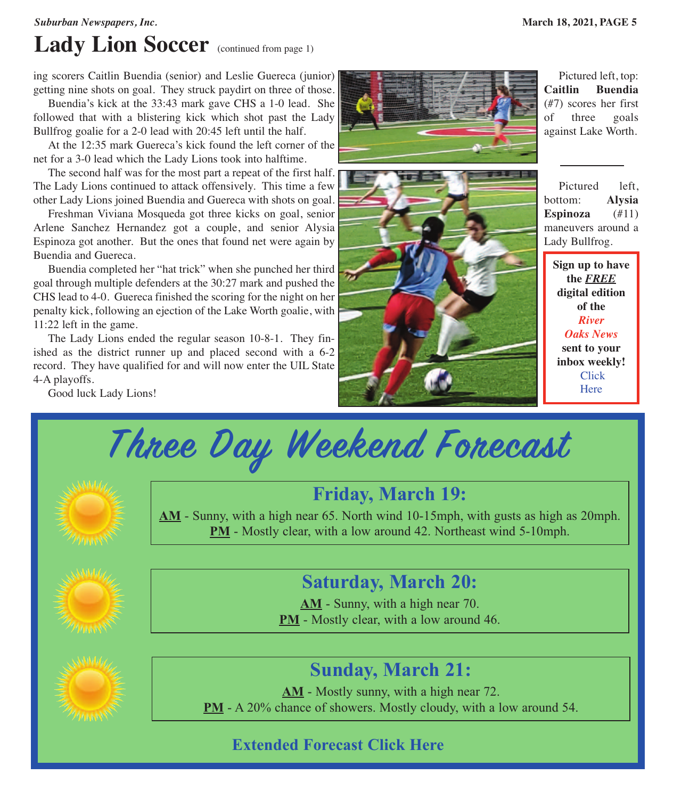#### *Suburban Newspapers, Inc.* **March 18, 2021, PAGE 5**

# **Lady Lion Soccer** (continued from page 1)

ing scorers Caitlin Buendia (senior) and Leslie Guereca (junior) getting nine shots on goal. They struck paydirt on three of those.

 Buendia's kick at the 33:43 mark gave CHS a 1-0 lead. She followed that with a blistering kick which shot past the Lady Bullfrog goalie for a 2-0 lead with 20:45 left until the half.

 At the 12:35 mark Guereca's kick found the left corner of the net for a 3-0 lead which the Lady Lions took into halftime.

 The second half was for the most part a repeat of the first half. The Lady Lions continued to attack offensively. This time a few other Lady Lions joined Buendia and Guereca with shots on goal.

 Freshman Viviana Mosqueda got three kicks on goal, senior Arlene Sanchez Hernandez got a couple, and senior Alysia Espinoza got another. But the ones that found net were again by Buendia and Guereca.

 Buendia completed her "hat trick" when she punched her third goal through multiple defenders at the 30:27 mark and pushed the CHS lead to 4-0. Guereca finished the scoring for the night on her penalty kick, following an ejection of the Lake Worth goalie, with 11:22 left in the game.

 The Lady Lions ended the regular season 10-8-1. They finished as the district runner up and placed second with a 6-2 record. They have qualified for and will now enter the UIL State 4-A playoffs.

Good luck Lady Lions!





 Pictured left, top: **Caitlin Buendia** (#7) scores her first of three goals against Lake Worth.

 Pictured left, bottom: **Alysia Espinoza** (#11) maneuvers around a Lady Bullfrog.

**Sign up to have the** *FREE* **digital edition of the** *River Oaks News* **sent to your inbox weekly!** [Click](http://eepurl.com/g3m8OX) **[Here](http://eepurl.com/g3m8OX)** 

**Three Day Weekend Forecast**



# **Friday, March 19:**

**AM** - Sunny, with a high near 65. North wind 10-15mph, with gusts as high as 20mph. **PM** - Mostly clear, with a low around 42. Northeast wind 5-10mph.



# **Saturday, March 20:**

**AM** - Sunny, with a high near 70. **PM** - Mostly clear, with a low around 46.



## **Sunday, March 21:**

**AM** - Mostly sunny, with a high near 72. **PM** - A 20% chance of showers. Mostly cloudy, with a low around 54.

### **Extended Forecast [Click](https://forecast.weather.gov) Here**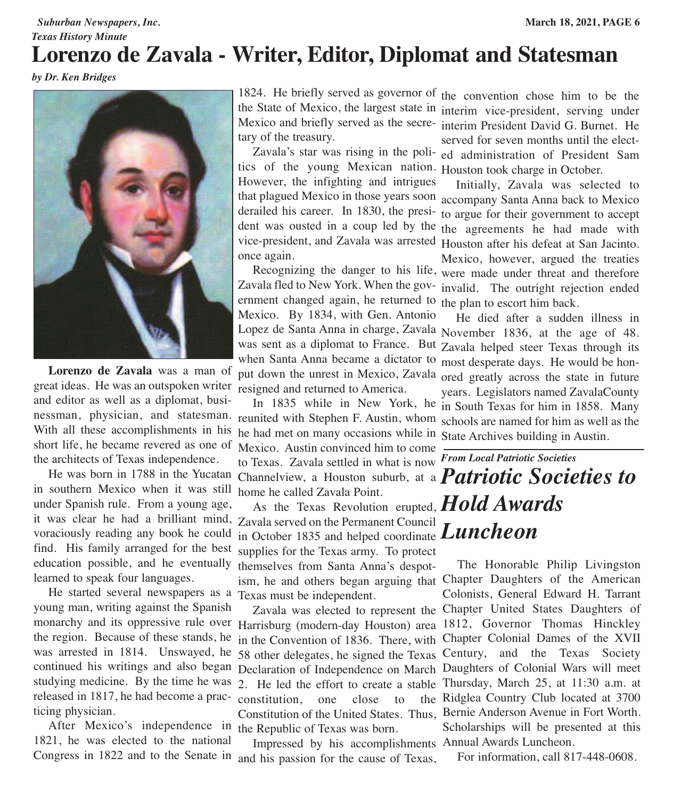### *Suburban Newspapers, Inc.* **March 18, 2021, PAGE 6**

### *Texas History Minute* **Lorenzo de Zavala - Writer, Editor, Diplomat and Statesman**

*by Dr. Ken Bridges*



 **Lorenzo de Zavala** was a man of great ideas. He was an outspoken writer resigned and returned to America. and editor as well as a diplomat, busi-With all these accomplishments in his short life, he became revered as one of Mexico. Austin convinced him to come the architects of Texas independence.

in southern Mexico when it was still home he called Zavala Point. under Spanish rule. From a young age, voraciously reading any book he could find. His family arranged for the best learned to speak four languages.

 He started several newspapers as a Texas must be independent. young man, writing against the Spanish the region. Because of these stands, he studying medicine. By the time he was released in 1817, he had become a prac-constitution, one close to the ticing physician.

 After Mexico's independence in the Republic of Texas was born. 1821, he was elected to the national

1824. He briefly served as governor of the convention chose him to be the tary of the treasury.

 Zavala's star was rising in the poli-ed administration of President Sam tics of the young Mexican nation. Houston took charge in October. However, the infighting and intrigues that plagued Mexico in those years soon accompany Santa Anna back to Mexico derailed his career. In 1830, the presi-to argue for their government to accept dent was ousted in a coup led by the the agreements he had made with vice-president, and Zavala was arrested Houston after his defeat at San Jacinto. once again.

 Recognizing the danger to his life, were made under threat and therefore Zavala fled to New York. When the gov- invalid. The outright rejection ended ernment changed again, he returned to the plan to escort him back. Mexico. By 1834, with Gen. Antonio Lopez de Santa Anna in charge, Zavala November 1836, at the age of 48. was sent as a diplomat to France. But Zavala helped steer Texas through its when Santa Anna became a dictator to most desperate days. He would be honput down the unrest in Mexico, Zavala ored greatly across the state in future

nessman, physician, and statesman. reunited with Stephen F. Austin, whom schools are named for him as well as the He was born in 1788 in the Yucatan Channelview, a Houston suburb, at a *Patriotic Societies to* In 1835 while in New York, he he had met on many occasions while in State Archives building in Austin. to Texas. Zavala settled in what is now *From Local Patriotic Societies*

it was clear he had a brilliant mind, Zavala served on the Permanent Council education possible, and he eventually themselves from Santa Anna's despot- As the Texas Revolution erupted, *Hold Awards* in October 1835 and helped coordinate *Luncheon*supplies for the Texas army. To protect ism, he and others began arguing that Chapter Daughters of the American

monarchy and its oppressive rule over Harrisburg (modern-day Houston) area 1812, Governor Thomas Hinckley was arrested in 1814. Unswayed, he 58 other delegates, he signed the Texas Century, and the Texas Society continued his writings and also began Declaration of Independence on March Daughters of Colonial Wars will meet Zavala was elected to represent the Chapter United States Daughters of in the Convention of 1836. There, with Chapter Colonial Dames of the XVII 2. He led the effort to create a stable Thursday, March 25, at 11:30 a.m. at Constitution of the United States. Thus, Bernie Anderson Avenue in Fort Worth.

Congress in 1822 and to the Senate in and his passion for the cause of Texas, Impressed by his accomplishments Annual Awards Luncheon.

the State of Mexico, the largest state in interim vice-president, serving under Mexico and briefly served as the secre-interim President David G. Burnet. He served for seven months until the elect-

> Initially, Zavala was selected to Mexico, however, argued the treaties

 He died after a sudden illness in years. Legislators named ZavalaCounty in South Texas for him in 1858. Many

 The Honorable Philip Livingston Colonists, General Edward H. Tarrant the Ridglea Country Club located at 3700 Scholarships will be presented at this

For information, call 817-448-0608.